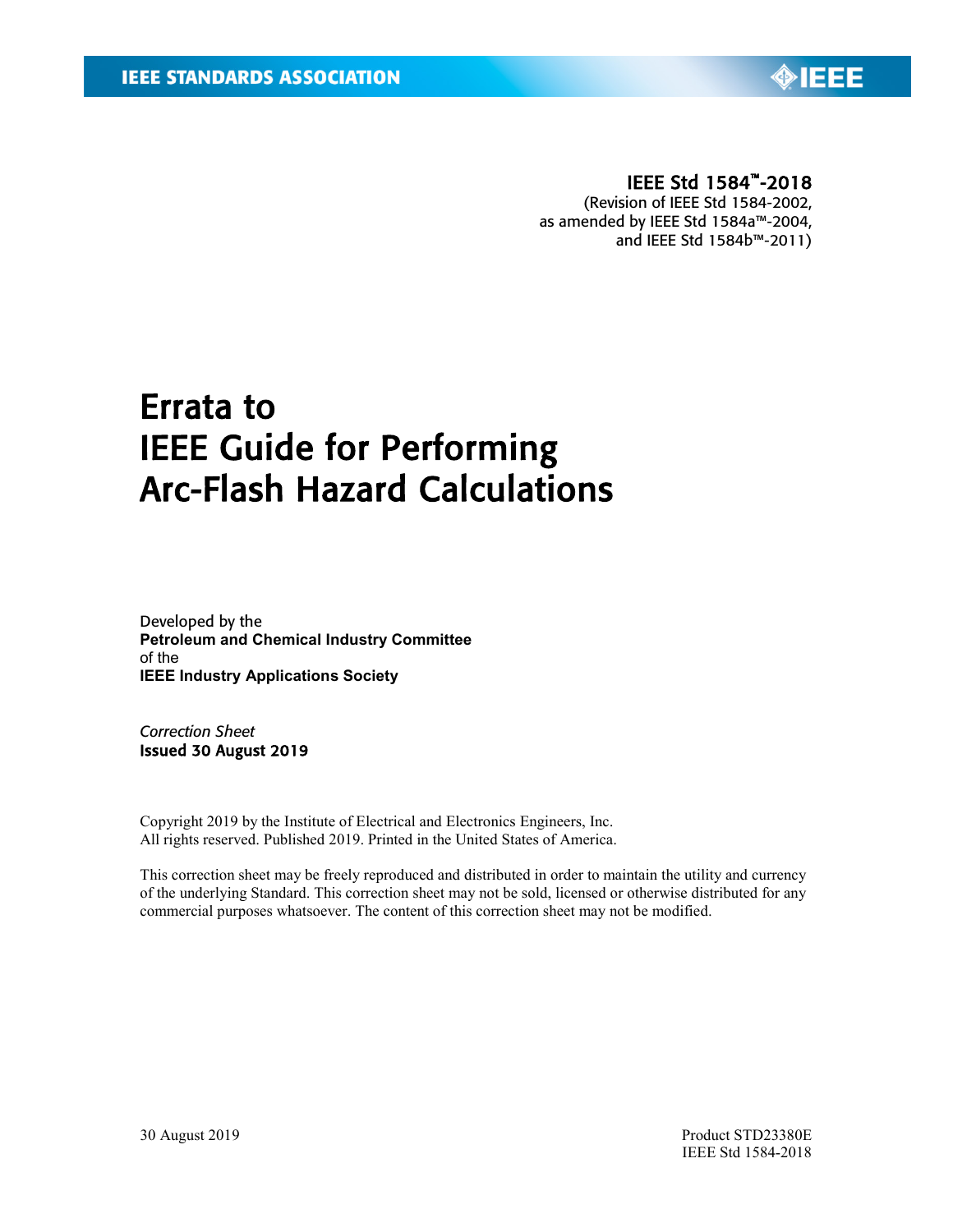

## IEEE Std 1584™-2018

(Revision of IEEE Std 1584-2002, as amended by IEEE Std 1584a™-2004, and IEEE Std 1584b™-2011)

# Errata to IEEE Guide for Performing Arc-Flash Hazard Calculations

Developed by the **Petroleum and Chemical Industry Committee** of the **IEEE Industry Applications Society**

*Correction Sheet* Issued 30 August 2019

Copyright 2019 by the Institute of Electrical and Electronics Engineers, Inc. All rights reserved. Published 2019. Printed in the United States of America.

This correction sheet may be freely reproduced and distributed in order to maintain the utility and currency of the underlying Standard. This correction sheet may not be sold, licensed or otherwise distributed for any commercial purposes whatsoever. The content of this correction sheet may not be modified.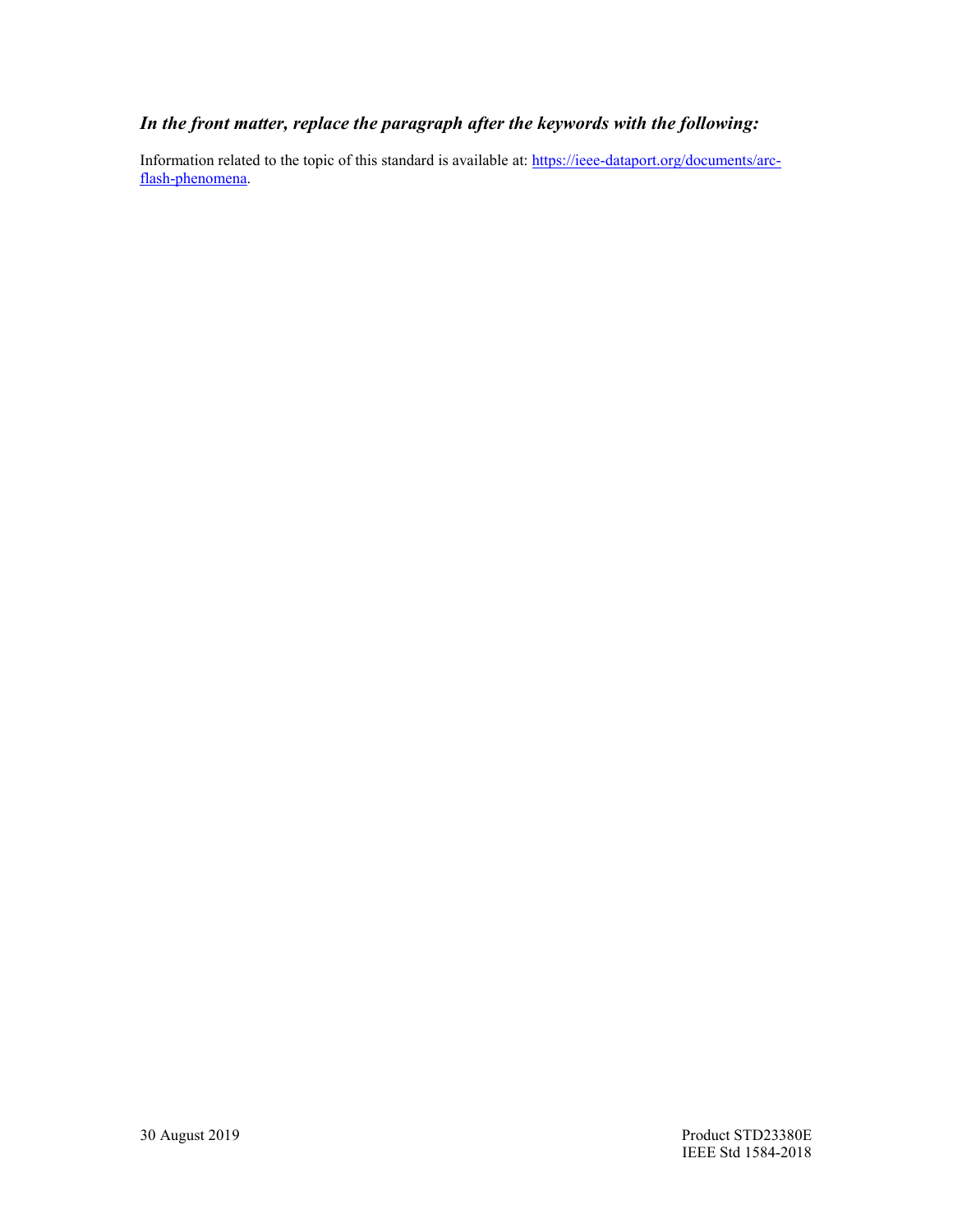## *In the front matter, replace the paragraph after the keywords with the following:*

Information related to the topic of this standard is available at: [https://ieee-dataport.org/documents/arc](https://ieee-dataport.org/documents/arc-flash-phenomena)[flash-phenomena.](https://ieee-dataport.org/documents/arc-flash-phenomena)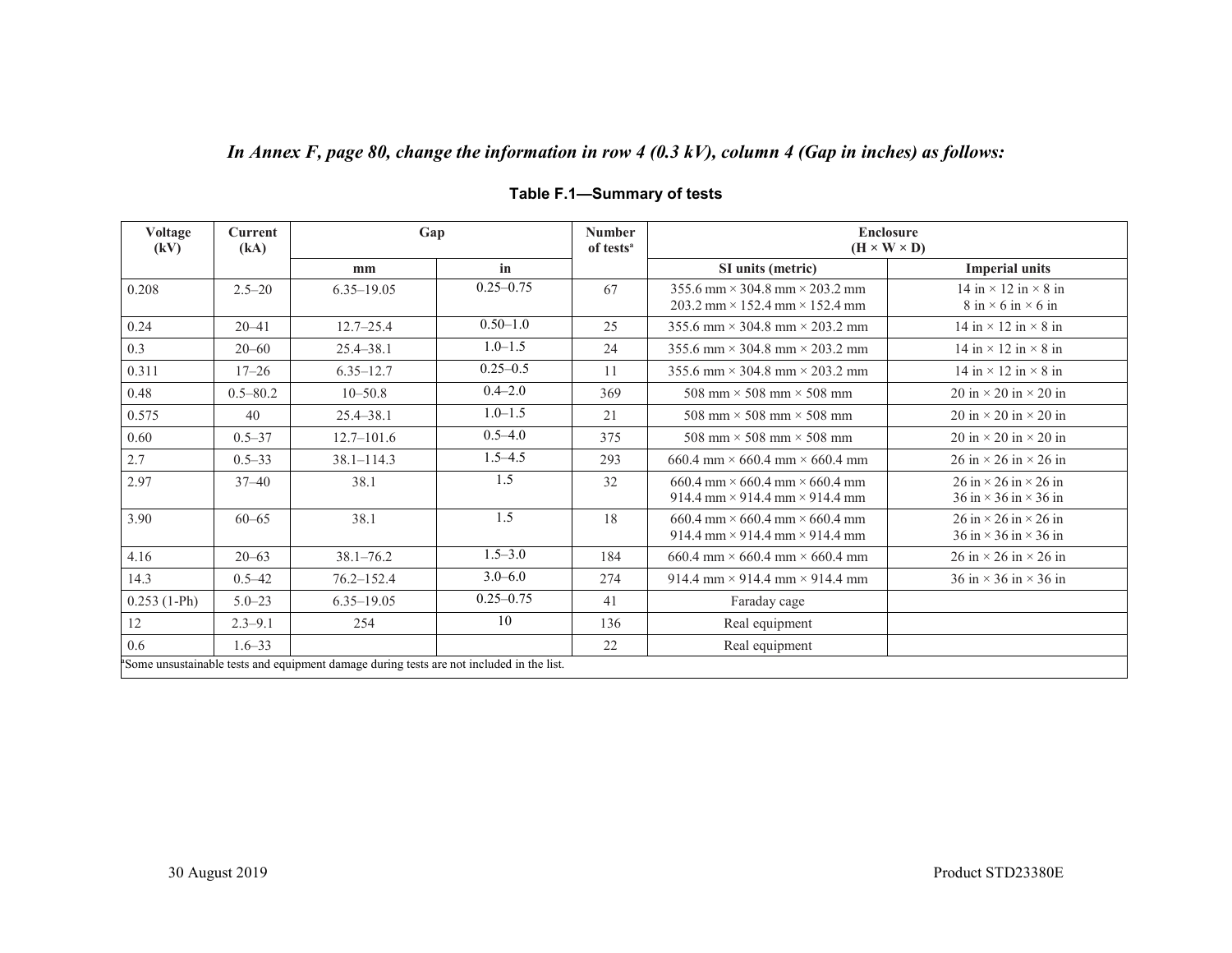# *In Annex F, page 80, change the information in row 4 (0.3 kV), column 4 (Gap in inches) as follows:*

| Voltage<br>(kV)                                                                                       | <b>Current</b><br>(kA) | Gap            |               | <b>Number</b><br>of tests <sup>a</sup> | <b>Enclosure</b><br>$(H \times W \times D)$                                                    |                                                                                                                        |
|-------------------------------------------------------------------------------------------------------|------------------------|----------------|---------------|----------------------------------------|------------------------------------------------------------------------------------------------|------------------------------------------------------------------------------------------------------------------------|
|                                                                                                       |                        | mm             | in            |                                        | SI units (metric)                                                                              | <b>Imperial units</b>                                                                                                  |
| 0.208                                                                                                 | $2.5 - 20$             | $6.35 - 19.05$ | $0.25 - 0.75$ | 67                                     | $355.6$ mm $\times$ 304.8 mm $\times$ 203.2 mm<br>203.2 mm $\times$ 152.4 mm $\times$ 152.4 mm | 14 in $\times$ 12 in $\times$ 8 in<br>$8 \text{ in} \times 6 \text{ in} \times 6 \text{ in}$                           |
| 0.24                                                                                                  | $20 - 41$              | $12.7 - 25.4$  | $0.50 - 1.0$  | 25                                     | 355.6 mm $\times$ 304.8 mm $\times$ 203.2 mm                                                   | 14 in $\times$ 12 in $\times$ 8 in                                                                                     |
| 0.3                                                                                                   | $20 - 60$              | $25.4 - 38.1$  | $1.0 - 1.5$   | 24                                     | 355.6 mm $\times$ 304.8 mm $\times$ 203.2 mm                                                   | 14 in $\times$ 12 in $\times$ 8 in                                                                                     |
| 0.311                                                                                                 | $17 - 26$              | $6.35 - 12.7$  | $0.25 - 0.5$  | 11                                     | 355.6 mm $\times$ 304.8 mm $\times$ 203.2 mm                                                   | 14 in $\times$ 12 in $\times$ 8 in                                                                                     |
| 0.48                                                                                                  | $0.5 - 80.2$           | $10 - 50.8$    | $0.4 - 2.0$   | 369                                    | 508 mm $\times$ 508 mm $\times$ 508 mm                                                         | $20 \text{ in} \times 20 \text{ in} \times 20 \text{ in}$                                                              |
| 0.575                                                                                                 | 40                     | 25.4-38.1      | $1.0 - 1.5$   | 21                                     | 508 mm $\times$ 508 mm $\times$ 508 mm                                                         | 20 in $\times$ 20 in $\times$ 20 in                                                                                    |
| 0.60                                                                                                  | $0.5 - 37$             | $12.7 - 101.6$ | $0.5 - 4.0$   | 375                                    | 508 mm $\times$ 508 mm $\times$ 508 mm                                                         | 20 in $\times$ 20 in $\times$ 20 in                                                                                    |
| 2.7                                                                                                   | $0.5 - 33$             | $38.1 - 114.3$ | $1.5 - 4.5$   | 293                                    | 660.4 mm $\times$ 660.4 mm $\times$ 660.4 mm                                                   | 26 in $\times$ 26 in $\times$ 26 in                                                                                    |
| 2.97                                                                                                  | $37 - 40$              | 38.1           | 1.5           | 32                                     | $660.4$ mm $\times$ 660.4 mm $\times$ 660.4 mm<br>914.4 mm $\times$ 914.4 mm $\times$ 914.4 mm | $26 \text{ in} \times 26 \text{ in} \times 26 \text{ in}$<br>$36 \text{ in} \times 36 \text{ in} \times 36 \text{ in}$ |
| 3.90                                                                                                  | $60 - 65$              | 38.1           | 1.5           | 18                                     | $660.4$ mm $\times$ 660.4 mm $\times$ 660.4 mm<br>914.4 mm $\times$ 914.4 mm $\times$ 914.4 mm | $26 \text{ in} \times 26 \text{ in} \times 26 \text{ in}$<br>$36 \text{ in} \times 36 \text{ in} \times 36 \text{ in}$ |
| 4.16                                                                                                  | $20 - 63$              | $38.1 - 76.2$  | $1.5 - 3.0$   | 184                                    | 660.4 mm $\times$ 660.4 mm $\times$ 660.4 mm                                                   | $26 \text{ in} \times 26 \text{ in} \times 26 \text{ in}$                                                              |
| 14.3                                                                                                  | $0.5 - 42$             | $76.2 - 152.4$ | $3.0 - 6.0$   | 274                                    | 914.4 mm $\times$ 914.4 mm $\times$ 914.4 mm                                                   | $36 \text{ in} \times 36 \text{ in} \times 36 \text{ in}$                                                              |
| $0.253(1-Ph)$                                                                                         | $5.0 - 23$             | $6.35 - 19.05$ | $0.25 - 0.75$ | 41                                     | Faraday cage                                                                                   |                                                                                                                        |
| 12                                                                                                    | $2.3 - 9.1$            | 254            | 10            | 136                                    | Real equipment                                                                                 |                                                                                                                        |
| 0.6                                                                                                   | $1.6 - 33$             |                |               | 22                                     | Real equipment                                                                                 |                                                                                                                        |
| <sup>a</sup> Some unsustainable tests and equipment damage during tests are not included in the list. |                        |                |               |                                        |                                                                                                |                                                                                                                        |

## **Table F.1—Summary of tests**